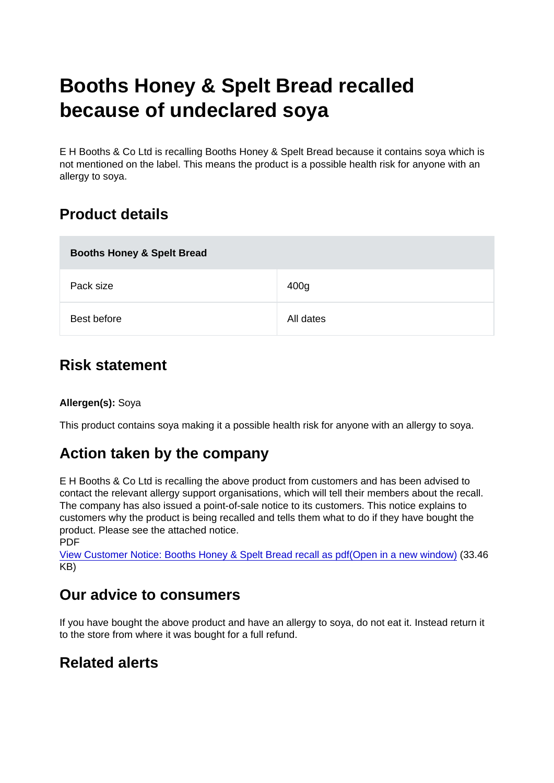# Booths Honey & Spelt Bread recalled because of undeclared soya

E H Booths & Co Ltd is recalling Booths Honey & Spelt Bread because it contains soya which is not mentioned on the label. This means the product is a possible health risk for anyone with an allergy to soya.

# Product details

| Booths Honey & Spelt Bread |                  |
|----------------------------|------------------|
| Pack size                  | 400 <sub>g</sub> |
| Best before                | All dates        |

## Risk statement

#### Allergen(s): Soya

This product contains soya making it a possible health risk for anyone with an allergy to soya.

## Action taken by the company

E H Booths & Co Ltd is recalling the above product from customers and has been advised to contact the relevant allergy support organisations, which will tell their members about the recall. The company has also issued a point-of-sale notice to its customers. This notice explains to customers why the product is being recalled and tells them what to do if they have bought the product. Please see the attached notice.

PDF

[View Customer Notice: Booths Honey & Spelt Bread recall as pdf\(Open in a new window\)](https://s3-eu-west-1.amazonaws.com/fsa-alerts-files/production/FSA-AA-74-2018/undeclaredsoya-boothsbread.pdf) (33.46 KB)

### Our advice to consumers

If you have bought the above product and have an allergy to soya, do not eat it. Instead return it to the store from where it was bought for a full refund.

## Related alerts